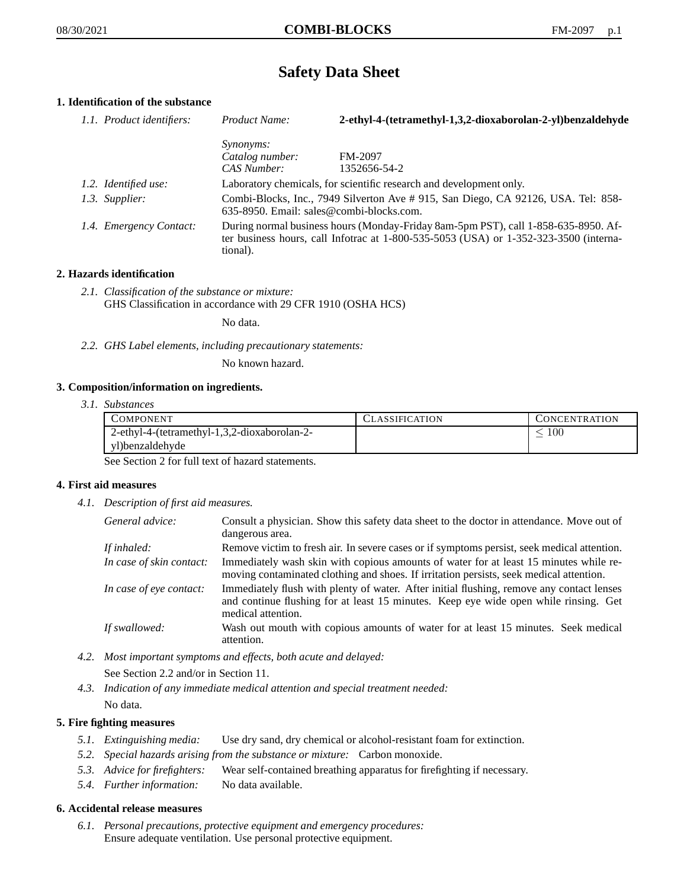# **Safety Data Sheet**

# **1. Identification of the substance**

| 1.1. Product identifiers: | Product Name:                                                                                                                                                                           | 2-ethyl-4-(tetramethyl-1,3,2-dioxaborolan-2-yl)benzaldehyde         |
|---------------------------|-----------------------------------------------------------------------------------------------------------------------------------------------------------------------------------------|---------------------------------------------------------------------|
|                           | <i>Synonyms:</i>                                                                                                                                                                        |                                                                     |
|                           | Catalog number:                                                                                                                                                                         | FM-2097                                                             |
|                           | CAS Number:                                                                                                                                                                             | 1352656-54-2                                                        |
| 1.2. Identified use:      |                                                                                                                                                                                         | Laboratory chemicals, for scientific research and development only. |
| 1.3. Supplier:            | Combi-Blocks, Inc., 7949 Silverton Ave #915, San Diego, CA 92126, USA. Tel: 858-<br>635-8950. Email: sales@combi-blocks.com.                                                            |                                                                     |
| 1.4. Emergency Contact:   | During normal business hours (Monday-Friday 8am-5pm PST), call 1-858-635-8950. Af-<br>ter business hours, call Infotrac at 1-800-535-5053 (USA) or 1-352-323-3500 (interna-<br>tional). |                                                                     |

# **2. Hazards identification**

*2.1. Classification of the substance or mixture:* GHS Classification in accordance with 29 CFR 1910 (OSHA HCS)

No data.

*2.2. GHS Label elements, including precautionary statements:*

No known hazard.

# **3. Composition/information on ingredients.**

*3.1. Substances*

| COMPONENT                                    | <b>CLASSIFICATION</b> | <b>CONCENTRATION</b> |
|----------------------------------------------|-----------------------|----------------------|
| 2-ethyl-4-(tetramethyl-1,3,2-dioxaborolan-2- |                       | $100\,$              |
| vl)benzaldehyde                              |                       |                      |

See Section 2 for full text of hazard statements.

# **4. First aid measures**

*4.1. Description of first aid measures.*

| General advice:          | Consult a physician. Show this safety data sheet to the doctor in attendance. Move out of<br>dangerous area.                                                                                            |
|--------------------------|---------------------------------------------------------------------------------------------------------------------------------------------------------------------------------------------------------|
| If inhaled:              | Remove victim to fresh air. In severe cases or if symptoms persist, seek medical attention.                                                                                                             |
| In case of skin contact: | Immediately wash skin with copious amounts of water for at least 15 minutes while re-<br>moving contaminated clothing and shoes. If irritation persists, seek medical attention.                        |
| In case of eye contact:  | Immediately flush with plenty of water. After initial flushing, remove any contact lenses<br>and continue flushing for at least 15 minutes. Keep eye wide open while rinsing. Get<br>medical attention. |
| If swallowed:            | Wash out mouth with copious amounts of water for at least 15 minutes. Seek medical<br>attention.                                                                                                        |

- *4.2. Most important symptoms and effects, both acute and delayed:* See Section 2.2 and/or in Section 11.
- *4.3. Indication of any immediate medical attention and special treatment needed:* No data.

# **5. Fire fighting measures**

- *5.1. Extinguishing media:* Use dry sand, dry chemical or alcohol-resistant foam for extinction.
- *5.2. Special hazards arising from the substance or mixture:* Carbon monoxide.
- *5.3. Advice for firefighters:* Wear self-contained breathing apparatus for firefighting if necessary.
- *5.4. Further information:* No data available.

# **6. Accidental release measures**

*6.1. Personal precautions, protective equipment and emergency procedures:* Ensure adequate ventilation. Use personal protective equipment.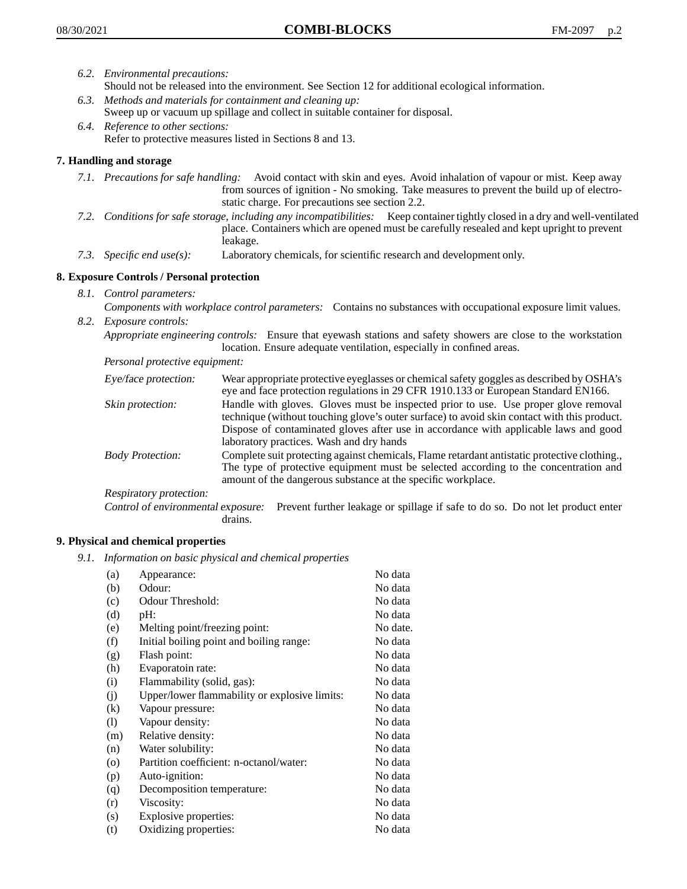- *6.2. Environmental precautions:* Should not be released into the environment. See Section 12 for additional ecological information.
- *6.3. Methods and materials for containment and cleaning up:* Sweep up or vacuum up spillage and collect in suitable container for disposal.
- *6.4. Reference to other sections:* Refer to protective measures listed in Sections 8 and 13.

# **7. Handling and storage**

- *7.1. Precautions for safe handling:* Avoid contact with skin and eyes. Avoid inhalation of vapour or mist. Keep away from sources of ignition - No smoking. Take measures to prevent the build up of electrostatic charge. For precautions see section 2.2.
- *7.2. Conditions for safe storage, including any incompatibilities:* Keep container tightly closed in a dry and well-ventilated place. Containers which are opened must be carefully resealed and kept upright to prevent leakage.
- *7.3. Specific end use(s):* Laboratory chemicals, for scientific research and development only.

# **8. Exposure Controls / Personal protection**

- *8.1. Control parameters:*
- *Components with workplace control parameters:* Contains no substances with occupational exposure limit values. *8.2. Exposure controls:*

*Appropriate engineering controls:* Ensure that eyewash stations and safety showers are close to the workstation location. Ensure adequate ventilation, especially in confined areas.

*Personal protective equipment:*

| Eye/face protection:    | Wear appropriate protective eyeglasses or chemical safety goggles as described by OSHA's<br>eye and face protection regulations in 29 CFR 1910.133 or European Standard EN166.                                                                                                                                         |
|-------------------------|------------------------------------------------------------------------------------------------------------------------------------------------------------------------------------------------------------------------------------------------------------------------------------------------------------------------|
| Skin protection:        | Handle with gloves. Gloves must be inspected prior to use. Use proper glove removal<br>technique (without touching glove's outer surface) to avoid skin contact with this product.<br>Dispose of contaminated gloves after use in accordance with applicable laws and good<br>laboratory practices. Wash and dry hands |
| <b>Body Protection:</b> | Complete suit protecting against chemicals, Flame retardant antistatic protective clothing.,<br>The type of protective equipment must be selected according to the concentration and<br>amount of the dangerous substance at the specific workplace.                                                                   |
| Respiratory protection: |                                                                                                                                                                                                                                                                                                                        |

Control of environmental exposure: Prevent further leakage or spillage if safe to do so. Do not let product enter drains.

# **9. Physical and chemical properties**

*9.1. Information on basic physical and chemical properties*

| (a)                        | Appearance:                                   | No data  |
|----------------------------|-----------------------------------------------|----------|
| (b)                        | Odour:                                        | No data  |
| (c)                        | Odour Threshold:                              | No data  |
| (d)                        | pH:                                           | No data  |
| (e)                        | Melting point/freezing point:                 | No date. |
| (f)                        | Initial boiling point and boiling range:      | No data  |
| (g)                        | Flash point:                                  | No data  |
| (h)                        | Evaporatoin rate:                             | No data  |
| (i)                        | Flammability (solid, gas):                    | No data  |
| (j)                        | Upper/lower flammability or explosive limits: | No data  |
| (k)                        | Vapour pressure:                              | No data  |
| $\left( \mathrm{l}\right)$ | Vapour density:                               | No data  |
| (m)                        | Relative density:                             | No data  |
| (n)                        | Water solubility:                             | No data  |
| $\circ$                    | Partition coefficient: n-octanol/water:       | No data  |
| (p)                        | Auto-ignition:                                | No data  |
| (q)                        | Decomposition temperature:                    | No data  |
| (r)                        | Viscosity:                                    | No data  |
| (s)                        | Explosive properties:                         | No data  |
| (t)                        | Oxidizing properties:                         | No data  |